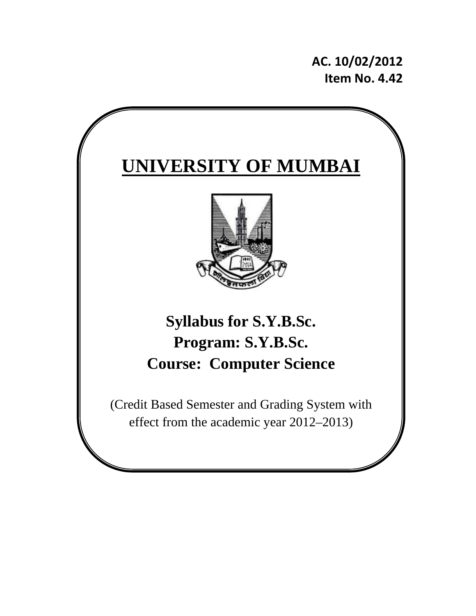**AC. 10/02/2012 Item No. 4.42**

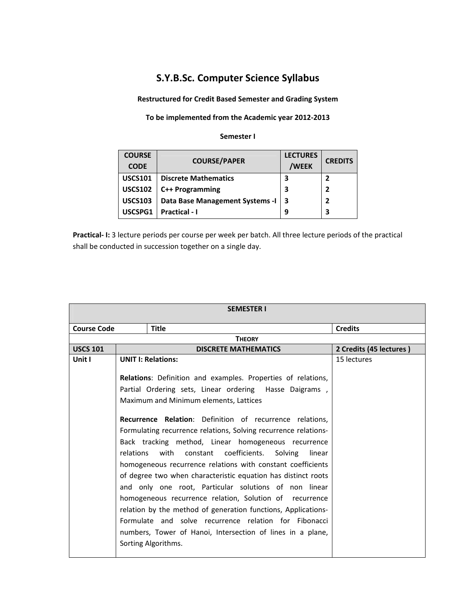# **S.Y.B.Sc. Computer Science Syllabus**

**Restructured for Credit Based Semester and Grading System**

# **To be implemented from the Academic year 2012‐2013**

#### **Semester I**

| <b>COURSE</b>  | <b>COURSE/PAPER</b>              | <b>LECTURES</b> | <b>CREDITS</b> |
|----------------|----------------------------------|-----------------|----------------|
| <b>CODE</b>    |                                  | /WEEK           |                |
| <b>USCS101</b> | <b>Discrete Mathematics</b>      | 3               |                |
| <b>USCS102</b> | C++ Programming                  | 3               |                |
| <b>USCS103</b> | Data Base Management Systems - I | l 3             |                |
| USCSPG1        | Practical - I                    | 9               | 3              |

**Practical‐ I:** 3 lecture periods per course per week per batch. All three lecture periods of the practical shall be conducted in succession together on a single day.

| <b>SEMESTER I</b>  |           |                                                                 |        |                         |
|--------------------|-----------|-----------------------------------------------------------------|--------|-------------------------|
| <b>Course Code</b> |           | <b>Title</b>                                                    |        | <b>Credits</b>          |
|                    |           | <b>THEORY</b>                                                   |        |                         |
| <b>USCS 101</b>    |           | <b>DISCRETE MATHEMATICS</b>                                     |        | 2 Credits (45 lectures) |
| Unit I             |           | <b>UNIT I: Relations:</b>                                       |        | 15 lectures             |
|                    |           | Relations: Definition and examples. Properties of relations,    |        |                         |
|                    |           | Partial Ordering sets, Linear ordering Hasse Daigrams,          |        |                         |
|                    |           | Maximum and Minimum elements, Lattices                          |        |                         |
|                    |           | Recurrence Relation: Definition of recurrence relations,        |        |                         |
|                    |           | Formulating recurrence relations, Solving recurrence relations- |        |                         |
|                    |           | Back tracking method, Linear homogeneous recurrence             |        |                         |
|                    | relations | with constant coefficients.<br>Solving                          | linear |                         |
|                    |           | homogeneous recurrence relations with constant coefficients     |        |                         |
|                    |           | of degree two when characteristic equation has distinct roots   |        |                         |
|                    |           | and only one root, Particular solutions of non linear           |        |                         |
|                    |           | homogeneous recurrence relation, Solution of recurrence         |        |                         |
|                    |           | relation by the method of generation functions, Applications-   |        |                         |
|                    |           | Formulate and solve recurrence relation for Fibonacci           |        |                         |
|                    |           | numbers, Tower of Hanoi, Intersection of lines in a plane,      |        |                         |
|                    |           | Sorting Algorithms.                                             |        |                         |
|                    |           |                                                                 |        |                         |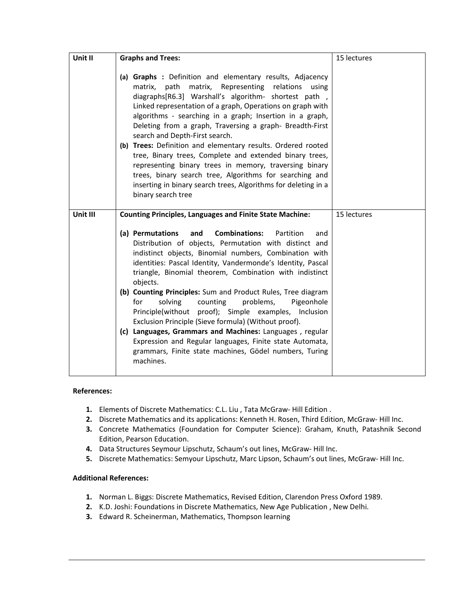| Unit II  | <b>Graphs and Trees:</b>                                                                                                                                                                                                                                                                                                                                                                                                                                                                                                                                                                                                                                                                                                                                              | 15 lectures |
|----------|-----------------------------------------------------------------------------------------------------------------------------------------------------------------------------------------------------------------------------------------------------------------------------------------------------------------------------------------------------------------------------------------------------------------------------------------------------------------------------------------------------------------------------------------------------------------------------------------------------------------------------------------------------------------------------------------------------------------------------------------------------------------------|-------------|
|          | (a) Graphs : Definition and elementary results, Adjacency<br>matrix, path<br>matrix, Representing relations<br>using<br>diagraphs[R6.3] Warshall's algorithm- shortest path,<br>Linked representation of a graph, Operations on graph with<br>algorithms - searching in a graph; Insertion in a graph,<br>Deleting from a graph, Traversing a graph- Breadth-First<br>search and Depth-First search.<br>(b) Trees: Definition and elementary results. Ordered rooted<br>tree, Binary trees, Complete and extended binary trees,<br>representing binary trees in memory, traversing binary<br>trees, binary search tree, Algorithms for searching and<br>inserting in binary search trees, Algorithms for deleting in a<br>binary search tree                          |             |
| Unit III | <b>Counting Principles, Languages and Finite State Machine:</b>                                                                                                                                                                                                                                                                                                                                                                                                                                                                                                                                                                                                                                                                                                       | 15 lectures |
|          | <b>Combinations:</b><br>(a) Permutations<br>and<br>Partition<br>and<br>Distribution of objects, Permutation with distinct and<br>indistinct objects, Binomial numbers, Combination with<br>identities: Pascal Identity, Vandermonde's Identity, Pascal<br>triangle, Binomial theorem, Combination with indistinct<br>objects.<br>(b) Counting Principles: Sum and Product Rules, Tree diagram<br>solving<br>problems,<br>Pigeonhole<br>for<br>counting<br>Principle(without proof); Simple examples, Inclusion<br>Exclusion Principle (Sieve formula) (Without proof).<br>(c) Languages, Grammars and Machines: Languages, regular<br>Expression and Regular languages, Finite state Automata,<br>grammars, Finite state machines, Gödel numbers, Turing<br>machines. |             |

- 1. Elements of Discrete Mathematics: C.L. Liu, Tata McGraw-Hill Edition.
- **2.** Discrete Mathematics and its applications: Kenneth H. Rosen, Third Edition, McGraw‐ Hill Inc.
- **3.** Concrete Mathematics (Foundation for Computer Science): Graham, Knuth, Patashnik Second Edition, Pearson Education.
- **4.** Data Structures Seymour Lipschutz, Schaum's out lines, McGraw‐ Hill Inc.
- **5.** Discrete Mathematics: Semyour Lipschutz, Marc Lipson, Schaum's out lines, McGraw‐ Hill Inc.

- **1.** Norman L. Biggs: Discrete Mathematics, Revised Edition, Clarendon Press Oxford 1989.
- **2.** K.D. Joshi: Foundations in Discrete Mathematics, New Age Publication , New Delhi.
- **3.** Edward R. Scheinerman, Mathematics, Thompson learning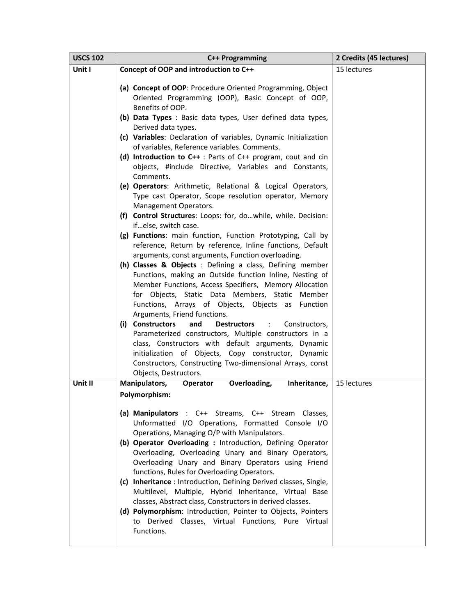| <b>USCS 102</b> | C++ Programming                                                                                                                                                                                                                                                                                                                                                                                                                                                                                                                                                                                                                                                                                                                                                                                                                                                                                                                                                                                                                                                                                                                                                                                                                                                                                                                                                                                                                                                                                                                                         | 2 Credits (45 lectures) |
|-----------------|---------------------------------------------------------------------------------------------------------------------------------------------------------------------------------------------------------------------------------------------------------------------------------------------------------------------------------------------------------------------------------------------------------------------------------------------------------------------------------------------------------------------------------------------------------------------------------------------------------------------------------------------------------------------------------------------------------------------------------------------------------------------------------------------------------------------------------------------------------------------------------------------------------------------------------------------------------------------------------------------------------------------------------------------------------------------------------------------------------------------------------------------------------------------------------------------------------------------------------------------------------------------------------------------------------------------------------------------------------------------------------------------------------------------------------------------------------------------------------------------------------------------------------------------------------|-------------------------|
| Unit I          | Concept of OOP and introduction to C++                                                                                                                                                                                                                                                                                                                                                                                                                                                                                                                                                                                                                                                                                                                                                                                                                                                                                                                                                                                                                                                                                                                                                                                                                                                                                                                                                                                                                                                                                                                  | 15 lectures             |
|                 | (a) Concept of OOP: Procedure Oriented Programming, Object<br>Oriented Programming (OOP), Basic Concept of OOP,<br>Benefits of OOP.<br>(b) Data Types : Basic data types, User defined data types,<br>Derived data types.<br>(c) Variables: Declaration of variables, Dynamic Initialization<br>of variables, Reference variables. Comments.<br>(d) Introduction to $C++$ : Parts of $C++$ program, cout and cin<br>objects, #include Directive, Variables and Constants,<br>Comments.<br>(e) Operators: Arithmetic, Relational & Logical Operators,<br>Type cast Operator, Scope resolution operator, Memory<br>Management Operators.<br>(f) Control Structures: Loops: for, dowhile, while. Decision:<br>ifelse, switch case.<br>(g) Functions: main function, Function Prototyping, Call by<br>reference, Return by reference, Inline functions, Default<br>arguments, const arguments, Function overloading.<br>(h) Classes & Objects : Defining a class, Defining member<br>Functions, making an Outside function Inline, Nesting of<br>Member Functions, Access Specifiers, Memory Allocation<br>for Objects, Static Data Members, Static Member<br>Functions, Arrays of Objects, Objects as Function<br>Arguments, Friend functions.<br>(i) Constructors<br><b>Destructors</b><br>and<br>Constructors,<br>÷<br>Parameterized constructors, Multiple constructors in a<br>class, Constructors with default arguments, Dynamic<br>initialization of Objects, Copy constructor, Dynamic<br>Constructors, Constructing Two-dimensional Arrays, const |                         |
|                 | Objects, Destructors.                                                                                                                                                                                                                                                                                                                                                                                                                                                                                                                                                                                                                                                                                                                                                                                                                                                                                                                                                                                                                                                                                                                                                                                                                                                                                                                                                                                                                                                                                                                                   |                         |
| Unit II         | Manipulators,<br>Overloading,<br>Inheritance,<br><b>Operator</b>                                                                                                                                                                                                                                                                                                                                                                                                                                                                                                                                                                                                                                                                                                                                                                                                                                                                                                                                                                                                                                                                                                                                                                                                                                                                                                                                                                                                                                                                                        | 15 lectures             |
|                 | Polymorphism:<br>(a) Manipulators : C++ Streams, C++ Stream Classes,<br>Unformatted I/O Operations, Formatted Console I/O<br>Operations, Managing O/P with Manipulators.<br>(b) Operator Overloading : Introduction, Defining Operator<br>Overloading, Overloading Unary and Binary Operators,<br>Overloading Unary and Binary Operators using Friend<br>functions, Rules for Overloading Operators.<br>(c) Inheritance: Introduction, Defining Derived classes, Single,<br>Multilevel, Multiple, Hybrid Inheritance, Virtual Base<br>classes, Abstract class, Constructors in derived classes.<br>(d) Polymorphism: Introduction, Pointer to Objects, Pointers<br>to Derived Classes, Virtual Functions, Pure Virtual<br>Functions.                                                                                                                                                                                                                                                                                                                                                                                                                                                                                                                                                                                                                                                                                                                                                                                                                    |                         |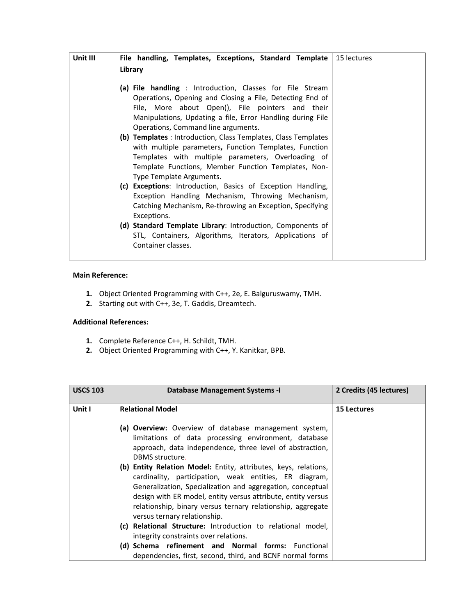| Unit III | File handling, Templates, Exceptions, Standard Template                                                        | 15 lectures |
|----------|----------------------------------------------------------------------------------------------------------------|-------------|
|          | Library                                                                                                        |             |
|          |                                                                                                                |             |
|          | (a) File handling : Introduction, Classes for File Stream                                                      |             |
|          | Operations, Opening and Closing a File, Detecting End of                                                       |             |
|          | File, More about Open(), File pointers and their<br>Manipulations, Updating a file, Error Handling during File |             |
|          | Operations, Command line arguments.                                                                            |             |
|          | (b) Templates : Introduction, Class Templates, Class Templates                                                 |             |
|          | with multiple parameters, Function Templates, Function                                                         |             |
|          | Templates with multiple parameters, Overloading of                                                             |             |
|          | Template Functions, Member Function Templates, Non-                                                            |             |
|          | Type Template Arguments.                                                                                       |             |
|          | (c) Exceptions: Introduction, Basics of Exception Handling,                                                    |             |
|          | Exception Handling Mechanism, Throwing Mechanism,                                                              |             |
|          | Catching Mechanism, Re-throwing an Exception, Specifying                                                       |             |
|          | Exceptions.                                                                                                    |             |
|          | (d) Standard Template Library: Introduction, Components of                                                     |             |
|          | STL, Containers, Algorithms, Iterators, Applications of                                                        |             |
|          | Container classes.                                                                                             |             |
|          |                                                                                                                |             |

# **Main Reference:**

- **1.** Object Oriented Programming with C++, 2e, E. Balguruswamy, TMH.
- **2.** Starting out with C++, 3e, T. Gaddis, Dreamtech.

- **1.** Complete Reference C++, H. Schildt, TMH.
- **2.** Object Oriented Programming with C++, Y. Kanitkar, BPB.

| <b>USCS 103</b> | Database Management Systems - I                                                                                                                                                                                                                                                                                                                                                                                                                                                                                                                                  | 2 Credits (45 lectures) |
|-----------------|------------------------------------------------------------------------------------------------------------------------------------------------------------------------------------------------------------------------------------------------------------------------------------------------------------------------------------------------------------------------------------------------------------------------------------------------------------------------------------------------------------------------------------------------------------------|-------------------------|
| Unit I          | <b>Relational Model</b>                                                                                                                                                                                                                                                                                                                                                                                                                                                                                                                                          | <b>15 Lectures</b>      |
|                 | <b>Overview:</b> Overview of database management system,<br>(a)<br>limitations of data processing environment, database<br>approach, data independence, three level of abstraction,<br>DBMS structure.<br>(b) Entity Relation Model: Entity, attributes, keys, relations,<br>cardinality, participation, weak entities, ER diagram,<br>Generalization, Specialization and aggregation, conceptual<br>design with ER model, entity versus attribute, entity versus<br>relationship, binary versus ternary relationship, aggregate<br>versus ternary relationship. |                         |
|                 | <b>Relational Structure:</b> Introduction to relational model,<br>(c)<br>integrity constraints over relations.                                                                                                                                                                                                                                                                                                                                                                                                                                                   |                         |
|                 | (d) Schema refinement and Normal forms: Functional<br>dependencies, first, second, third, and BCNF normal forms                                                                                                                                                                                                                                                                                                                                                                                                                                                  |                         |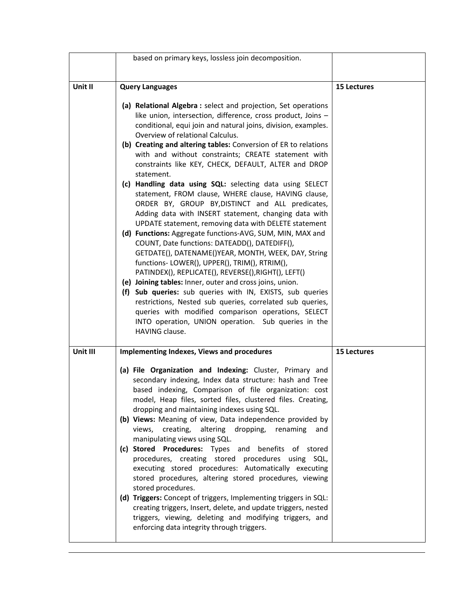|          | based on primary keys, lossless join decomposition.                                                                                                                                                                                                                                                                                                     |                    |
|----------|---------------------------------------------------------------------------------------------------------------------------------------------------------------------------------------------------------------------------------------------------------------------------------------------------------------------------------------------------------|--------------------|
|          |                                                                                                                                                                                                                                                                                                                                                         |                    |
| Unit II  | <b>Query Languages</b>                                                                                                                                                                                                                                                                                                                                  | <b>15 Lectures</b> |
|          | (a) Relational Algebra : select and projection, Set operations<br>like union, intersection, difference, cross product, Joins -<br>conditional, equi join and natural joins, division, examples.<br>Overview of relational Calculus.                                                                                                                     |                    |
|          | (b) Creating and altering tables: Conversion of ER to relations<br>with and without constraints; CREATE statement with<br>constraints like KEY, CHECK, DEFAULT, ALTER and DROP<br>statement.                                                                                                                                                            |                    |
|          | (c) Handling data using SQL: selecting data using SELECT<br>statement, FROM clause, WHERE clause, HAVING clause,<br>ORDER BY, GROUP BY, DISTINCT and ALL predicates,<br>Adding data with INSERT statement, changing data with<br>UPDATE statement, removing data with DELETE statement                                                                  |                    |
|          | (d) Functions: Aggregate functions-AVG, SUM, MIN, MAX and<br>COUNT, Date functions: DATEADD(), DATEDIFF(),<br>GETDATE(), DATENAME()YEAR, MONTH, WEEK, DAY, String<br>functions-LOWER(), UPPER(), TRIM(), RTRIM(),<br>PATINDEX(), REPLICATE(), REVERSE(), RIGHT(), LEFT()                                                                                |                    |
|          | (e) Joining tables: Inner, outer and cross joins, union.<br>(f) Sub queries: sub queries with IN, EXISTS, sub queries<br>restrictions, Nested sub queries, correlated sub queries,<br>queries with modified comparison operations, SELECT<br>INTO operation, UNION operation. Sub queries in the<br>HAVING clause.                                      |                    |
| Unit III | <b>Implementing Indexes, Views and procedures</b>                                                                                                                                                                                                                                                                                                       | <b>15 Lectures</b> |
|          | (a) File Organization and Indexing: Cluster, Primary and<br>secondary indexing, Index data structure: hash and Tree<br>based indexing, Comparison of file organization: cost<br>model, Heap files, sorted files, clustered files. Creating,<br>dropping and maintaining indexes using SQL.<br>(b) Views: Meaning of view, Data independence provided by |                    |
|          | altering<br>dropping,<br>views,<br>creating,<br>renaming<br>and<br>manipulating views using SQL.<br>(c) Stored Procedures: Types and benefits of stored<br>procedures, creating stored procedures<br>using SQL,<br>executing stored procedures: Automatically executing                                                                                 |                    |
|          | stored procedures, altering stored procedures, viewing<br>stored procedures.<br>(d) Triggers: Concept of triggers, Implementing triggers in SQL:<br>creating triggers, Insert, delete, and update triggers, nested<br>triggers, viewing, deleting and modifying triggers, and<br>enforcing data integrity through triggers.                             |                    |
|          |                                                                                                                                                                                                                                                                                                                                                         |                    |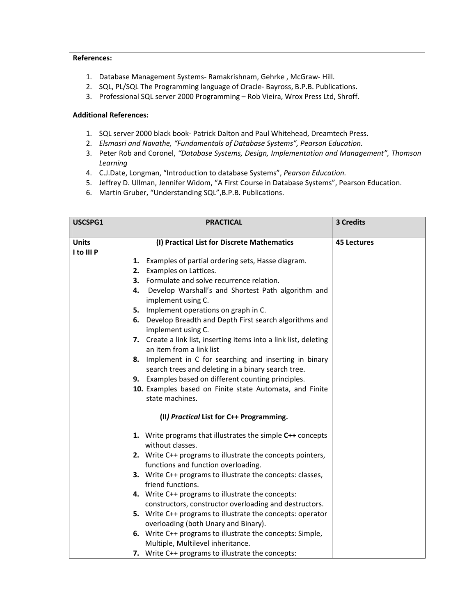- 1. Database Management Systems‐ Ramakrishnam, Gehrke , McGraw‐ Hill.
- 2. SQL, PL/SQL The Programming language of Oracle-Bayross, B.P.B. Publications.
- 3. Professional SQL server 2000 Programming Rob Vieira, Wrox Press Ltd, Shroff.

- 1. SQL server 2000 black book‐ Patrick Dalton and Paul Whitehead, Dreamtech Press.
- 2. *Elsmasri and Navathe, "Fundamentals of Database Systems", Pearson Education.*
- 3. Peter Rob and Coronel, *"Database Systems, Design, Implementation and Management", Thomson Learning*
- 4. C.J.Date, Longman, "Introduction to database Systems", *Pearson Education.*
- 5. Jeffrey D. Ullman, Jennifer Widom, "A First Course in Database Systems", Pearson Education.
- 6. Martin Gruber, "Understanding SQL",B.P.B. Publications.

| USCSPG1      | <b>PRACTICAL</b>                                                  | 3 Credits          |
|--------------|-------------------------------------------------------------------|--------------------|
| <b>Units</b> | (I) Practical List for Discrete Mathematics                       | <b>45 Lectures</b> |
| I to III P   |                                                                   |                    |
|              | Examples of partial ordering sets, Hasse diagram.<br>1.           |                    |
|              | Examples on Lattices.<br>2.                                       |                    |
|              | 3. Formulate and solve recurrence relation.                       |                    |
|              | Develop Warshall's and Shortest Path algorithm and<br>4.          |                    |
|              | implement using C.                                                |                    |
|              | 5. Implement operations on graph in C.                            |                    |
|              | 6. Develop Breadth and Depth First search algorithms and          |                    |
|              | implement using C.                                                |                    |
|              | 7. Create a link list, inserting items into a link list, deleting |                    |
|              | an item from a link list                                          |                    |
|              | Implement in C for searching and inserting in binary<br>8.        |                    |
|              | search trees and deleting in a binary search tree.                |                    |
|              | 9. Examples based on different counting principles.               |                    |
|              | 10. Examples based on Finite state Automata, and Finite           |                    |
|              | state machines.                                                   |                    |
|              | (II) Practical List for C++ Programming.                          |                    |
|              | 1. Write programs that illustrates the simple C++ concepts        |                    |
|              | without classes.                                                  |                    |
|              | 2. Write C++ programs to illustrate the concepts pointers,        |                    |
|              | functions and function overloading.                               |                    |
|              | 3. Write C++ programs to illustrate the concepts: classes,        |                    |
|              | friend functions.                                                 |                    |
|              | 4. Write C++ programs to illustrate the concepts:                 |                    |
|              | constructors, constructor overloading and destructors.            |                    |
|              | 5. Write C++ programs to illustrate the concepts: operator        |                    |
|              | overloading (both Unary and Binary).                              |                    |
|              | 6. Write C++ programs to illustrate the concepts: Simple,         |                    |
|              | Multiple, Multilevel inheritance.                                 |                    |
|              | 7. Write C++ programs to illustrate the concepts:                 |                    |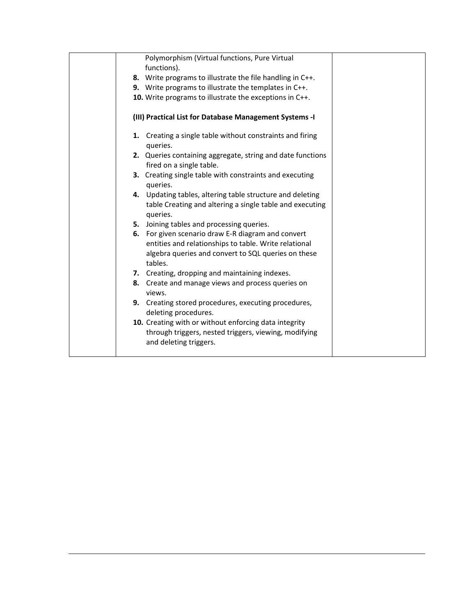| Polymorphism (Virtual functions, Pure Virtual                                                                                     |
|-----------------------------------------------------------------------------------------------------------------------------------|
| functions).                                                                                                                       |
| 8. Write programs to illustrate the file handling in C++.                                                                         |
| 9. Write programs to illustrate the templates in C++.                                                                             |
| 10. Write programs to illustrate the exceptions in C++.                                                                           |
| (III) Practical List for Database Management Systems -I                                                                           |
| 1. Creating a single table without constraints and firing<br>queries.                                                             |
| 2. Queries containing aggregate, string and date functions<br>fired on a single table.                                            |
| 3. Creating single table with constraints and executing<br>queries.                                                               |
| 4. Updating tables, altering table structure and deleting<br>table Creating and altering a single table and executing<br>queries. |
| 5. Joining tables and processing queries.                                                                                         |
| 6. For given scenario draw E-R diagram and convert                                                                                |
| entities and relationships to table. Write relational                                                                             |
| algebra queries and convert to SQL queries on these<br>tables.                                                                    |
| 7. Creating, dropping and maintaining indexes.                                                                                    |
| 8. Create and manage views and process queries on<br>views.                                                                       |
| 9. Creating stored procedures, executing procedures,<br>deleting procedures.                                                      |
| 10. Creating with or without enforcing data integrity                                                                             |
| through triggers, nested triggers, viewing, modifying<br>and deleting triggers.                                                   |
|                                                                                                                                   |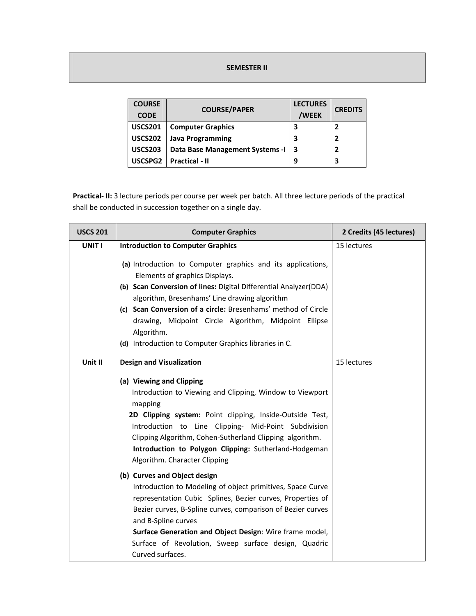#### **SEMESTER II**

| <b>COURSE</b><br><b>CODE</b> | <b>COURSE/PAPER</b>              | <b>LECTURES</b><br>/WEEK | <b>CREDITS</b> |
|------------------------------|----------------------------------|--------------------------|----------------|
| <b>USCS201</b>               | <b>Computer Graphics</b>         | 3                        |                |
| <b>USCS202</b>               | <b>Java Programming</b>          | 3                        | 7              |
| <b>USCS203</b>               | Data Base Management Systems - I | -3                       | 7              |
| USCSPG2                      | <b>Practical - II</b>            | 9                        | 3              |

**Practical‐ II:** 3 lecture periods per course per week per batch. All three lecture periods of the practical shall be conducted in succession together on a single day.

| <b>USCS 201</b> | <b>Computer Graphics</b>                                                                                                                                                                                                                                                                                                                                                                                           | 2 Credits (45 lectures) |
|-----------------|--------------------------------------------------------------------------------------------------------------------------------------------------------------------------------------------------------------------------------------------------------------------------------------------------------------------------------------------------------------------------------------------------------------------|-------------------------|
| UNIT I          | <b>Introduction to Computer Graphics</b>                                                                                                                                                                                                                                                                                                                                                                           | 15 lectures             |
|                 | (a) Introduction to Computer graphics and its applications,<br>Elements of graphics Displays.<br>(b) Scan Conversion of lines: Digital Differential Analyzer(DDA)<br>algorithm, Bresenhams' Line drawing algorithm<br>(c) Scan Conversion of a circle: Bresenhams' method of Circle<br>drawing, Midpoint Circle Algorithm, Midpoint Ellipse<br>Algorithm.<br>(d) Introduction to Computer Graphics libraries in C. |                         |
| Unit II         | <b>Design and Visualization</b>                                                                                                                                                                                                                                                                                                                                                                                    | 15 lectures             |
|                 | (a) Viewing and Clipping<br>Introduction to Viewing and Clipping, Window to Viewport<br>mapping<br>2D Clipping system: Point clipping, Inside-Outside Test,<br>Introduction to Line Clipping- Mid-Point Subdivision<br>Clipping Algorithm, Cohen-Sutherland Clipping algorithm.<br>Introduction to Polygon Clipping: Sutherland-Hodgeman<br>Algorithm. Character Clipping                                          |                         |
|                 | (b) Curves and Object design<br>Introduction to Modeling of object primitives, Space Curve<br>representation Cubic Splines, Bezier curves, Properties of<br>Bezier curves, B-Spline curves, comparison of Bezier curves<br>and B-Spline curves<br>Surface Generation and Object Design: Wire frame model,<br>Surface of Revolution, Sweep surface design, Quadric<br>Curved surfaces.                              |                         |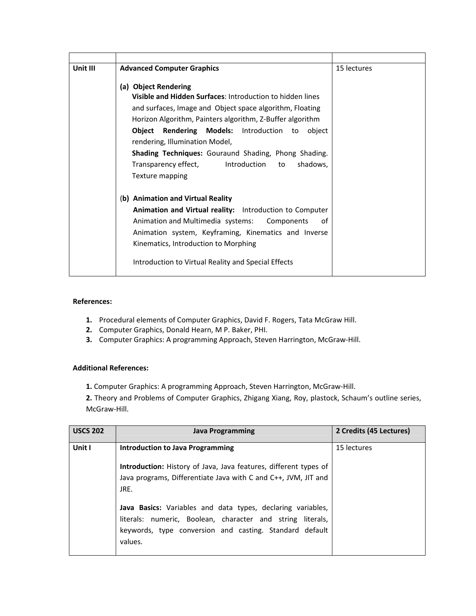| Unit III | <b>Advanced Computer Graphics</b>                                                                                                                                                                                                                                                                                                                                                                                                     | 15 lectures |
|----------|---------------------------------------------------------------------------------------------------------------------------------------------------------------------------------------------------------------------------------------------------------------------------------------------------------------------------------------------------------------------------------------------------------------------------------------|-------------|
|          | (a) Object Rendering<br>Visible and Hidden Surfaces: Introduction to hidden lines<br>and surfaces, Image and Object space algorithm, Floating<br>Horizon Algorithm, Painters algorithm, Z-Buffer algorithm<br><b>Object Rendering Models:</b> Introduction to object<br>rendering, Illumination Model,<br>Shading Techniques: Gouraund Shading, Phong Shading.<br>Transparency effect, lntroduction to<br>shadows,<br>Texture mapping |             |
|          | (b) Animation and Virtual Reality<br><b>Animation and Virtual reality:</b> Introduction to Computer<br>Animation and Multimedia systems: Components<br>of<br>Animation system, Keyframing, Kinematics and Inverse<br>Kinematics, Introduction to Morphing<br>Introduction to Virtual Reality and Special Effects                                                                                                                      |             |

- **1.** Procedural elements of Computer Graphics, David F. Rogers, Tata McGraw Hill.
- **2.** Computer Graphics, Donald Hearn, M P. Baker, PHI.
- **3.** Computer Graphics: A programming Approach, Steven Harrington, McGraw‐Hill.

# **Additional References:**

**1.** Computer Graphics: A programming Approach, Steven Harrington, McGraw‐Hill.

**2.** Theory and Problems of Computer Graphics, Zhigang Xiang, Roy, plastock, Schaum's outline series, McGraw-Hill.

| <b>USCS 202</b> | <b>Java Programming</b>                                                                                                                                                                         | 2 Credits (45 Lectures) |
|-----------------|-------------------------------------------------------------------------------------------------------------------------------------------------------------------------------------------------|-------------------------|
| Unit I          | <b>Introduction to Java Programming</b>                                                                                                                                                         | 15 lectures             |
|                 | <b>Introduction:</b> History of Java, Java features, different types of<br>Java programs, Differentiate Java with C and C++, JVM, JIT and<br>JRE.                                               |                         |
|                 | Java Basics: Variables and data types, declaring variables,<br>literals: numeric, Boolean, character and string literals,<br>keywords, type conversion and casting. Standard default<br>values. |                         |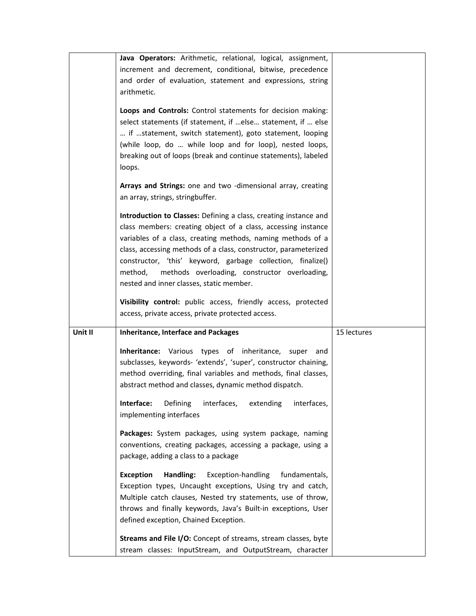|         | Java Operators: Arithmetic, relational, logical, assignment,                                                               |             |
|---------|----------------------------------------------------------------------------------------------------------------------------|-------------|
|         | increment and decrement, conditional, bitwise, precedence                                                                  |             |
|         | and order of evaluation, statement and expressions, string                                                                 |             |
|         | arithmetic.                                                                                                                |             |
|         | Loops and Controls: Control statements for decision making:                                                                |             |
|         | select statements (if statement, if  else statement, if  else                                                              |             |
|         | if statement, switch statement), goto statement, looping                                                                   |             |
|         | (while loop, do  while loop and for loop), nested loops,                                                                   |             |
|         | breaking out of loops (break and continue statements), labeled                                                             |             |
|         | loops.                                                                                                                     |             |
|         |                                                                                                                            |             |
|         | Arrays and Strings: one and two -dimensional array, creating                                                               |             |
|         | an array, strings, stringbuffer.                                                                                           |             |
|         |                                                                                                                            |             |
|         | Introduction to Classes: Defining a class, creating instance and                                                           |             |
|         | class members: creating object of a class, accessing instance                                                              |             |
|         | variables of a class, creating methods, naming methods of a                                                                |             |
|         | class, accessing methods of a class, constructor, parameterized                                                            |             |
|         | constructor, 'this' keyword, garbage collection, finalize()                                                                |             |
|         | methods overloading, constructor overloading,<br>method,                                                                   |             |
|         | nested and inner classes, static member.                                                                                   |             |
|         | Visibility control: public access, friendly access, protected                                                              |             |
|         |                                                                                                                            |             |
|         | access, private access, private protected access.                                                                          |             |
|         |                                                                                                                            |             |
| Unit II | <b>Inheritance, Interface and Packages</b>                                                                                 | 15 lectures |
|         |                                                                                                                            |             |
|         | <b>Inheritance:</b> Various types of inheritance, super<br>and                                                             |             |
|         | subclasses, keywords- 'extends', 'super', constructor chaining,                                                            |             |
|         | method overriding, final variables and methods, final classes,                                                             |             |
|         | abstract method and classes, dynamic method dispatch.                                                                      |             |
|         | Interface:<br>Defining<br>interfaces,<br>extending<br>interfaces,                                                          |             |
|         | implementing interfaces                                                                                                    |             |
|         |                                                                                                                            |             |
|         | Packages: System packages, using system package, naming                                                                    |             |
|         | conventions, creating packages, accessing a package, using a                                                               |             |
|         | package, adding a class to a package                                                                                       |             |
|         | <b>Exception</b><br>Handling:<br>Exception-handling<br>fundamentals,                                                       |             |
|         | Exception types, Uncaught exceptions, Using try and catch,                                                                 |             |
|         | Multiple catch clauses, Nested try statements, use of throw,                                                               |             |
|         | throws and finally keywords, Java's Built-in exceptions, User                                                              |             |
|         | defined exception, Chained Exception.                                                                                      |             |
|         |                                                                                                                            |             |
|         | Streams and File I/O: Concept of streams, stream classes, byte<br>stream classes: InputStream, and OutputStream, character |             |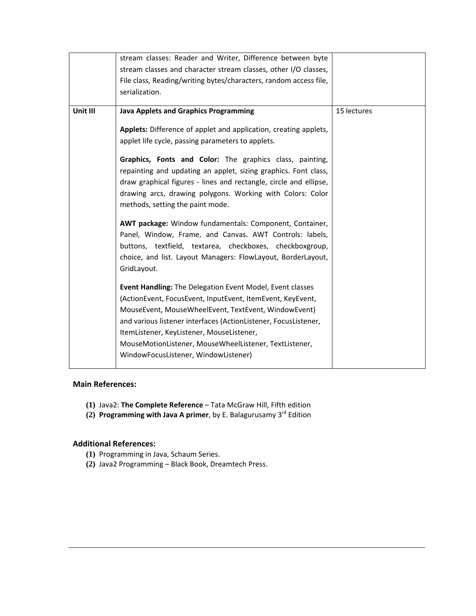|          | stream classes: Reader and Writer, Difference between byte                  |             |
|----------|-----------------------------------------------------------------------------|-------------|
|          | stream classes and character stream classes, other I/O classes,             |             |
|          | File class, Reading/writing bytes/characters, random access file,           |             |
|          | serialization.                                                              |             |
|          |                                                                             |             |
| Unit III | <b>Java Applets and Graphics Programming</b>                                | 15 lectures |
|          | Applets: Difference of applet and application, creating applets,            |             |
|          | applet life cycle, passing parameters to applets.                           |             |
|          |                                                                             |             |
|          | Graphics, Fonts and Color: The graphics class, painting,                    |             |
|          | repainting and updating an applet, sizing graphics. Font class,             |             |
|          | draw graphical figures - lines and rectangle, circle and ellipse,           |             |
|          | drawing arcs, drawing polygons. Working with Colors: Color                  |             |
|          | methods, setting the paint mode.                                            |             |
|          |                                                                             |             |
|          | AWT package: Window fundamentals: Component, Container,                     |             |
|          | Panel, Window, Frame, and Canvas. AWT Controls: labels,                     |             |
|          | buttons, textfield, textarea, checkboxes, checkboxgroup,                    |             |
|          | choice, and list. Layout Managers: FlowLayout, BorderLayout,<br>GridLayout. |             |
|          |                                                                             |             |
|          | Event Handling: The Delegation Event Model, Event classes                   |             |
|          | (ActionEvent, FocusEvent, InputEvent, ItemEvent, KeyEvent,                  |             |
|          | MouseEvent, MouseWheelEvent, TextEvent, WindowEvent)                        |             |
|          | and various listener interfaces (ActionListener, FocusListener,             |             |
|          | ItemListener, KeyListener, MouseListener,                                   |             |
|          | MouseMotionListener, MouseWheelListener, TextListener,                      |             |
|          | WindowFocusListener, WindowListener)                                        |             |
|          |                                                                             |             |

# **Main References:**

- **(1)** Java2: **The Complete Reference** Tata McGraw Hill, Fifth edition
- **(2) Programming with Java A primer**, by E. Balagurusamy 3rd Edition

- **(1)** Programming in Java, Schaum Series.
- **(2)** Java2 Programming Black Book, Dreamtech Press.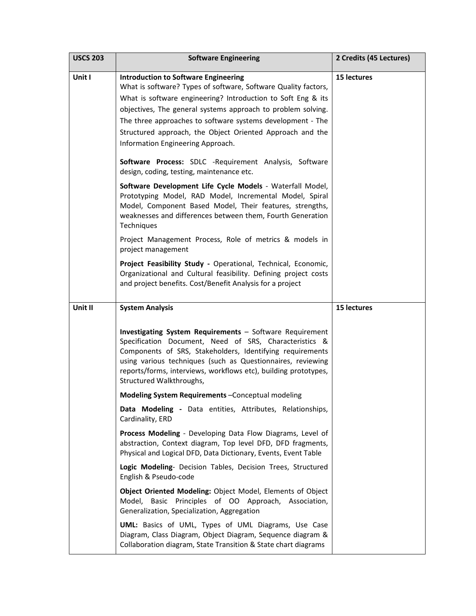| <b>USCS 203</b> | <b>Software Engineering</b>                                                                                                                                                                                                                                                                                                                                                                                                                                                                                                                                                                                                                                                                              | 2 Credits (45 Lectures) |
|-----------------|----------------------------------------------------------------------------------------------------------------------------------------------------------------------------------------------------------------------------------------------------------------------------------------------------------------------------------------------------------------------------------------------------------------------------------------------------------------------------------------------------------------------------------------------------------------------------------------------------------------------------------------------------------------------------------------------------------|-------------------------|
| Unit I          | <b>Introduction to Software Engineering</b><br>What is software? Types of software, Software Quality factors,<br>What is software engineering? Introduction to Soft Eng & its<br>objectives, The general systems approach to problem solving.<br>The three approaches to software systems development - The<br>Structured approach, the Object Oriented Approach and the<br>Information Engineering Approach.<br>Software Process: SDLC -Requirement Analysis, Software<br>design, coding, testing, maintenance etc.<br>Software Development Life Cycle Models - Waterfall Model,<br>Prototyping Model, RAD Model, Incremental Model, Spiral<br>Model, Component Based Model, Their features, strengths, | 15 lectures             |
|                 | weaknesses and differences between them, Fourth Generation<br>Techniques                                                                                                                                                                                                                                                                                                                                                                                                                                                                                                                                                                                                                                 |                         |
|                 | Project Management Process, Role of metrics & models in<br>project management                                                                                                                                                                                                                                                                                                                                                                                                                                                                                                                                                                                                                            |                         |
|                 | Project Feasibility Study - Operational, Technical, Economic,<br>Organizational and Cultural feasibility. Defining project costs<br>and project benefits. Cost/Benefit Analysis for a project                                                                                                                                                                                                                                                                                                                                                                                                                                                                                                            |                         |
| Unit II         | <b>System Analysis</b>                                                                                                                                                                                                                                                                                                                                                                                                                                                                                                                                                                                                                                                                                   | 15 lectures             |
|                 | Investigating System Requirements - Software Requirement<br>Specification Document, Need of SRS, Characteristics &<br>Components of SRS, Stakeholders, Identifying requirements<br>using various techniques (such as Questionnaires, reviewing<br>reports/forms, interviews, workflows etc), building prototypes,<br>Structured Walkthroughs,                                                                                                                                                                                                                                                                                                                                                            |                         |
|                 | Modeling System Requirements - Conceptual modeling                                                                                                                                                                                                                                                                                                                                                                                                                                                                                                                                                                                                                                                       |                         |
|                 | Data Modeling - Data entities, Attributes, Relationships,<br>Cardinality, ERD                                                                                                                                                                                                                                                                                                                                                                                                                                                                                                                                                                                                                            |                         |
|                 | Process Modeling - Developing Data Flow Diagrams, Level of<br>abstraction, Context diagram, Top level DFD, DFD fragments,<br>Physical and Logical DFD, Data Dictionary, Events, Event Table                                                                                                                                                                                                                                                                                                                                                                                                                                                                                                              |                         |
|                 | Logic Modeling- Decision Tables, Decision Trees, Structured<br>English & Pseudo-code                                                                                                                                                                                                                                                                                                                                                                                                                                                                                                                                                                                                                     |                         |
|                 | Object Oriented Modeling: Object Model, Elements of Object<br>Model, Basic Principles of OO Approach, Association,<br>Generalization, Specialization, Aggregation                                                                                                                                                                                                                                                                                                                                                                                                                                                                                                                                        |                         |
|                 | UML: Basics of UML, Types of UML Diagrams, Use Case<br>Diagram, Class Diagram, Object Diagram, Sequence diagram &<br>Collaboration diagram, State Transition & State chart diagrams                                                                                                                                                                                                                                                                                                                                                                                                                                                                                                                      |                         |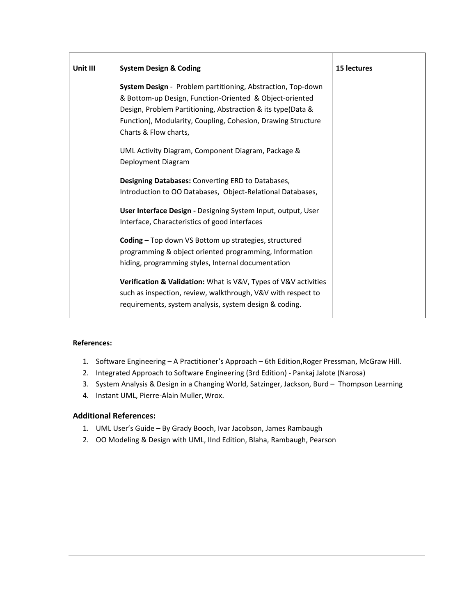| Unit III | <b>System Design &amp; Coding</b>                                                                                                                                                                                                                                                     | 15 lectures |
|----------|---------------------------------------------------------------------------------------------------------------------------------------------------------------------------------------------------------------------------------------------------------------------------------------|-------------|
|          | <b>System Design</b> - Problem partitioning, Abstraction, Top-down<br>& Bottom-up Design, Function-Oriented & Object-oriented<br>Design, Problem Partitioning, Abstraction & its type(Data &<br>Function), Modularity, Coupling, Cohesion, Drawing Structure<br>Charts & Flow charts, |             |
|          | UML Activity Diagram, Component Diagram, Package &<br>Deployment Diagram                                                                                                                                                                                                              |             |
|          | <b>Designing Databases:</b> Converting ERD to Databases,<br>Introduction to OO Databases, Object-Relational Databases,                                                                                                                                                                |             |
|          | User Interface Design - Designing System Input, output, User<br>Interface, Characteristics of good interfaces                                                                                                                                                                         |             |
|          | Coding - Top down VS Bottom up strategies, structured<br>programming & object oriented programming, Information<br>hiding, programming styles, Internal documentation                                                                                                                 |             |
|          | Verification & Validation: What is V&V, Types of V&V activities<br>such as inspection, review, walkthrough, V&V with respect to<br>requirements, system analysis, system design & coding.                                                                                             |             |

- 1. Software Engineering A Practitioner's Approach 6th Edition,Roger Pressman, McGraw Hill.
- 2. Integrated Approach to Software Engineering (3rd Edition) ‐ Pankaj Jalote (Narosa)
- 3. System Analysis & Design in a Changing World, Satzinger, Jackson, Burd Thompson Learning
- 4. Instant UML, Pierre-Alain Muller, Wrox.

- 1. UML User's Guide By Grady Booch, Ivar Jacobson, James Rambaugh
- 2. OO Modeling & Design with UML, IInd Edition, Blaha, Rambaugh, Pearson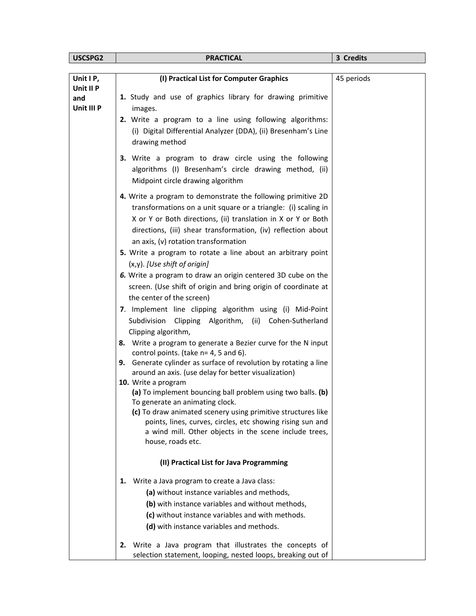| USCSPG2          | <b>PRACTICAL</b>                                                                                                        | 3 Credits  |
|------------------|-------------------------------------------------------------------------------------------------------------------------|------------|
|                  |                                                                                                                         |            |
| Unit I P,        | (I) Practical List for Computer Graphics                                                                                | 45 periods |
| Unit II P<br>and | 1. Study and use of graphics library for drawing primitive                                                              |            |
| Unit III P       | images.                                                                                                                 |            |
|                  | 2. Write a program to a line using following algorithms:                                                                |            |
|                  | (i) Digital Differential Analyzer (DDA), (ii) Bresenham's Line<br>drawing method                                        |            |
|                  | 3. Write a program to draw circle using the following                                                                   |            |
|                  | algorithms (I) Bresenham's circle drawing method, (ii)<br>Midpoint circle drawing algorithm                             |            |
|                  | 4. Write a program to demonstrate the following primitive 2D                                                            |            |
|                  | transformations on a unit square or a triangle: (i) scaling in                                                          |            |
|                  | X or Y or Both directions, (ii) translation in X or Y or Both                                                           |            |
|                  | directions, (iii) shear transformation, (iv) reflection about                                                           |            |
|                  | an axis, (v) rotation transformation                                                                                    |            |
|                  | 5. Write a program to rotate a line about an arbitrary point<br>$(x,y)$ . [Use shift of origin]                         |            |
|                  | 6. Write a program to draw an origin centered 3D cube on the                                                            |            |
|                  | screen. (Use shift of origin and bring origin of coordinate at                                                          |            |
|                  | the center of the screen)                                                                                               |            |
|                  | 7. Implement line clipping algorithm using (i) Mid-Point                                                                |            |
|                  | Clipping Algorithm, (ii) Cohen-Sutherland<br>Subdivision                                                                |            |
|                  | Clipping algorithm,                                                                                                     |            |
|                  | 8. Write a program to generate a Bezier curve for the N input<br>control points. (take n= 4, 5 and 6).                  |            |
|                  | 9. Generate cylinder as surface of revolution by rotating a line                                                        |            |
|                  | around an axis. (use delay for better visualization)                                                                    |            |
|                  | 10. Write a program                                                                                                     |            |
|                  | (a) To implement bouncing ball problem using two balls. (b)<br>To generate an animating clock.                          |            |
|                  | (c) To draw animated scenery using primitive structures like                                                            |            |
|                  | points, lines, curves, circles, etc showing rising sun and                                                              |            |
|                  | a wind mill. Other objects in the scene include trees,                                                                  |            |
|                  | house, roads etc.                                                                                                       |            |
|                  | (II) Practical List for Java Programming                                                                                |            |
|                  | Write a Java program to create a Java class:<br>1.                                                                      |            |
|                  | (a) without instance variables and methods,                                                                             |            |
|                  | (b) with instance variables and without methods,                                                                        |            |
|                  | (c) without instance variables and with methods.                                                                        |            |
|                  | (d) with instance variables and methods.                                                                                |            |
|                  | 2. Write a Java program that illustrates the concepts of<br>selection statement, looping, nested loops, breaking out of |            |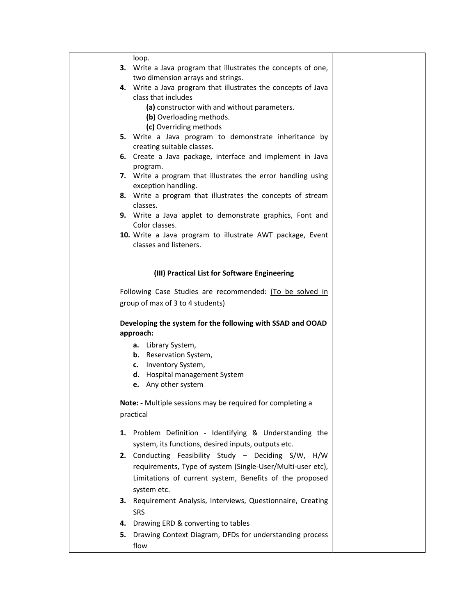| loop.                                                                               |  |
|-------------------------------------------------------------------------------------|--|
| 3. Write a Java program that illustrates the concepts of one,                       |  |
| two dimension arrays and strings.                                                   |  |
| 4. Write a Java program that illustrates the concepts of Java                       |  |
| class that includes                                                                 |  |
| (a) constructor with and without parameters.                                        |  |
| (b) Overloading methods.                                                            |  |
| (c) Overriding methods                                                              |  |
| 5. Write a Java program to demonstrate inheritance by<br>creating suitable classes. |  |
| 6. Create a Java package, interface and implement in Java                           |  |
| program.                                                                            |  |
| 7. Write a program that illustrates the error handling using                        |  |
| exception handling.                                                                 |  |
| 8. Write a program that illustrates the concepts of stream                          |  |
| classes.                                                                            |  |
| 9. Write a Java applet to demonstrate graphics, Font and                            |  |
| Color classes.                                                                      |  |
| 10. Write a Java program to illustrate AWT package, Event                           |  |
| classes and listeners.                                                              |  |
|                                                                                     |  |
| (III) Practical List for Software Engineering                                       |  |
|                                                                                     |  |
| Following Case Studies are recommended: (To be solved in                            |  |
| group of max of 3 to 4 students)                                                    |  |
|                                                                                     |  |
| Developing the system for the following with SSAD and OOAD                          |  |
| approach:                                                                           |  |
| a. Library System,                                                                  |  |
| <b>b.</b> Reservation System,                                                       |  |
| c. Inventory System,                                                                |  |
| d. Hospital management System                                                       |  |
| e. Any other system                                                                 |  |
| Note: - Multiple sessions may be required for completing a                          |  |
| practical                                                                           |  |
|                                                                                     |  |
| 1. Problem Definition - Identifying & Understanding the                             |  |
| system, its functions, desired inputs, outputs etc.                                 |  |
| Conducting Feasibility Study - Deciding S/W, H/W<br>2.                              |  |
| requirements, Type of system (Single-User/Multi-user etc),                          |  |
| Limitations of current system, Benefits of the proposed                             |  |
| system etc.                                                                         |  |
| 3. Requirement Analysis, Interviews, Questionnaire, Creating                        |  |
| <b>SRS</b>                                                                          |  |
|                                                                                     |  |
| Drawing ERD & converting to tables<br>4.                                            |  |
| Drawing Context Diagram, DFDs for understanding process<br>5.                       |  |
| flow                                                                                |  |